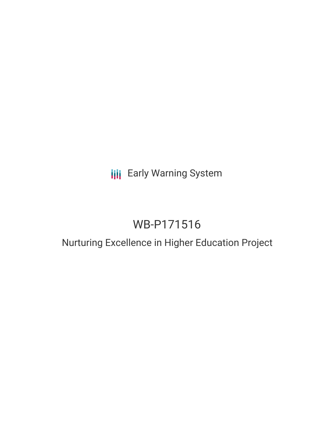## **III** Early Warning System

# WB-P171516

### Nurturing Excellence in Higher Education Project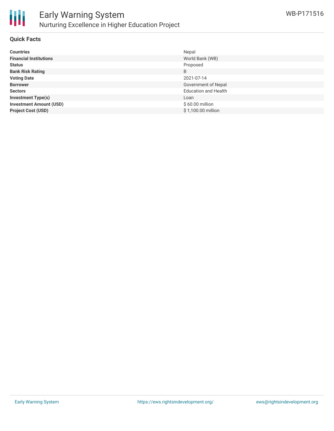

#### **Quick Facts**

| <b>Countries</b>               | Nepal                       |
|--------------------------------|-----------------------------|
| <b>Financial Institutions</b>  | World Bank (WB)             |
| <b>Status</b>                  | Proposed                    |
| <b>Bank Risk Rating</b>        | B                           |
| <b>Voting Date</b>             | 2021-07-14                  |
| <b>Borrower</b>                | Government of Nepal         |
| <b>Sectors</b>                 | <b>Education and Health</b> |
| <b>Investment Type(s)</b>      | Loan                        |
| <b>Investment Amount (USD)</b> | $$60.00$ million            |
| <b>Project Cost (USD)</b>      | \$1,100.00 million          |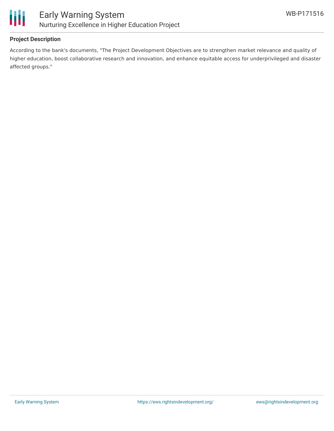

#### **Project Description**

According to the bank's documents, "The Project Development Objectives are to strengthen market relevance and quality of higher education, boost collaborative research and innovation, and enhance equitable access for underprivileged and disaster affected groups."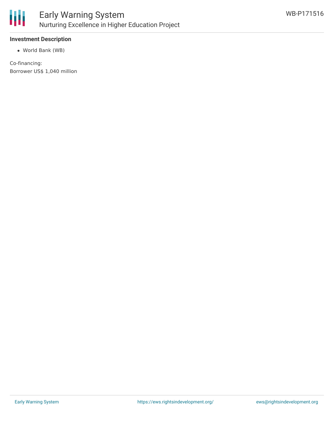

#### **Investment Description**

World Bank (WB)

Co-financing: Borrower US\$ 1,040 million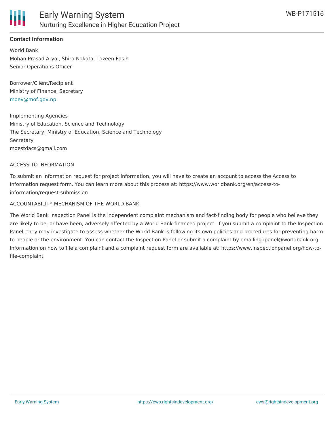

#### **Contact Information**

World Bank Mohan Prasad Aryal, Shiro Nakata, Tazeen Fasih Senior Operations Officer

Borrower/Client/Recipient Ministry of Finance, Secretary [moev@mof.gov.np](mailto:moev@mof.gov.np)

Implementing Agencies Ministry of Education, Science and Technology The Secretary, Ministry of Education, Science and Technology **Secretary** moestdacs@gmail.com

#### ACCESS TO INFORMATION

To submit an information request for project information, you will have to create an account to access the Access to Information request form. You can learn more about this process at: https://www.worldbank.org/en/access-toinformation/request-submission

#### ACCOUNTABILITY MECHANISM OF THE WORLD BANK

The World Bank Inspection Panel is the independent complaint mechanism and fact-finding body for people who believe they are likely to be, or have been, adversely affected by a World Bank-financed project. If you submit a complaint to the Inspection Panel, they may investigate to assess whether the World Bank is following its own policies and procedures for preventing harm to people or the environment. You can contact the Inspection Panel or submit a complaint by emailing ipanel@worldbank.org. Information on how to file a complaint and a complaint request form are available at: https://www.inspectionpanel.org/how-tofile-complaint